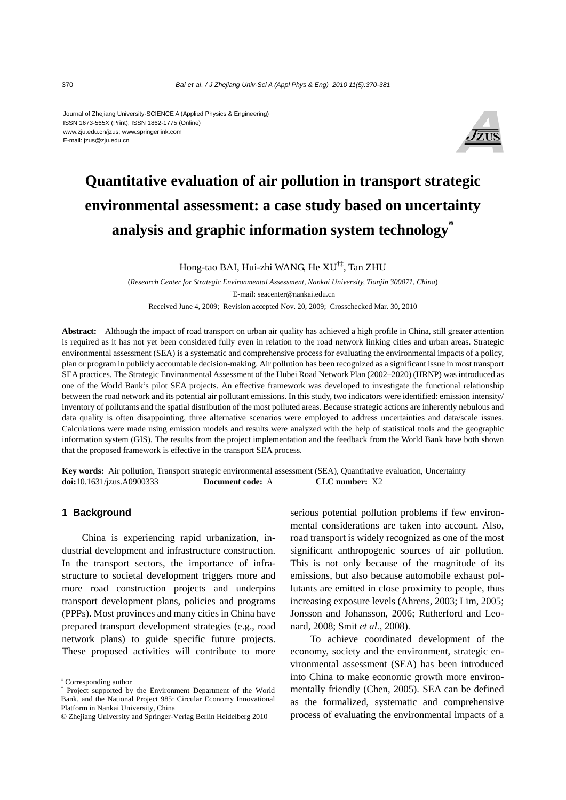#### Journal of Zhejiang University-SCIENCE A (Applied Physics & Engineering) ISSN 1673-565X (Print); ISSN 1862-1775 (Online) www.zju.edu.cn/jzus; www.springerlink.com E-mail: jzus@zju.edu.cn



# **Quantitative evaluation of air pollution in transport strategic environmental assessment: a case study based on uncertainty analysis and graphic information system technology\***

Hong-tao BAI, Hui-zhi WANG, He XU†‡, Tan ZHU

(*Research Center for Strategic Environmental Assessment, Nankai University, Tianjin 300071, China*) † E-mail: seacenter@nankai.edu.cn

Received June 4, 2009; Revision accepted Nov. 20, 2009; Crosschecked Mar. 30, 2010

**Abstract:** Although the impact of road transport on urban air quality has achieved a high profile in China, still greater attention is required as it has not yet been considered fully even in relation to the road network linking cities and urban areas. Strategic environmental assessment (SEA) is a systematic and comprehensive process for evaluating the environmental impacts of a policy, plan or program in publicly accountable decision-making. Air pollution has been recognized as a significant issue in most transport SEA practices. The Strategic Environmental Assessment of the Hubei Road Network Plan (2002–2020) (HRNP) was introduced as one of the World Bank's pilot SEA projects. An effective framework was developed to investigate the functional relationship between the road network and its potential air pollutant emissions. In this study, two indicators were identified: emission intensity/ inventory of pollutants and the spatial distribution of the most polluted areas. Because strategic actions are inherently nebulous and data quality is often disappointing, three alternative scenarios were employed to address uncertainties and data/scale issues. Calculations were made using emission models and results were analyzed with the help of statistical tools and the geographic information system (GIS). The results from the project implementation and the feedback from the World Bank have both shown that the proposed framework is effective in the transport SEA process.

**Key words:** Air pollution, Transport strategic environmental assessment (SEA), Quantitative evaluation, Uncertainty **doi:**10.1631/jzus.A0900333 **Document code:** A **CLC number:** X2

## **1 Background**

China is experiencing rapid urbanization, industrial development and infrastructure construction. In the transport sectors, the importance of infrastructure to societal development triggers more and more road construction projects and underpins transport development plans, policies and programs (PPPs). Most provinces and many cities in China have prepared transport development strategies (e.g., road network plans) to guide specific future projects. These proposed activities will contribute to more

serious potential pollution problems if few environmental considerations are taken into account. Also, road transport is widely recognized as one of the most significant anthropogenic sources of air pollution. This is not only because of the magnitude of its emissions, but also because automobile exhaust pollutants are emitted in close proximity to people, thus increasing exposure levels (Ahrens, 2003; Lim, 2005; Jonsson and Johansson, 2006; Rutherford and Leonard, 2008; Smit *et al.*, 2008).

To achieve coordinated development of the economy, society and the environment, strategic environmental assessment (SEA) has been introduced into China to make economic growth more environmentally friendly (Chen, 2005). SEA can be defined as the formalized, systematic and comprehensive process of evaluating the environmental impacts of a

<sup>&</sup>lt;sup>‡</sup> Corresponding author<br><sup>\*</sup> Project supported by

Project supported by the Environment Department of the World Bank, and the National Project 985: Circular Economy Innovational Platform in Nankai University, China

<sup>©</sup> Zhejiang University and Springer-Verlag Berlin Heidelberg 2010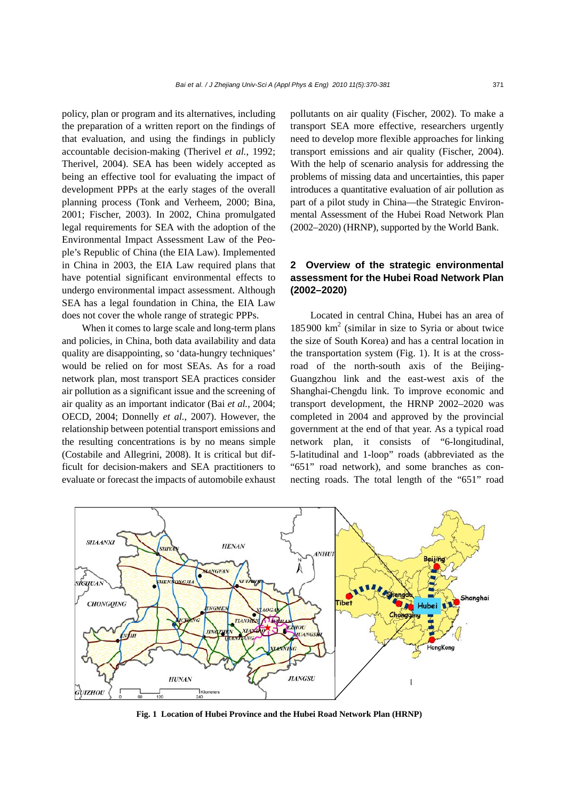policy, plan or program and its alternatives, including the preparation of a written report on the findings of that evaluation, and using the findings in publicly accountable decision-making (Therivel *et al.*, 1992; Therivel, 2004). SEA has been widely accepted as being an effective tool for evaluating the impact of development PPPs at the early stages of the overall planning process (Tonk and Verheem, 2000; Bina, 2001; Fischer, 2003). In 2002, China promulgated legal requirements for SEA with the adoption of the Environmental Impact Assessment Law of the People's Republic of China (the EIA Law). Implemented in China in 2003, the EIA Law required plans that have potential significant environmental effects to undergo environmental impact assessment. Although SEA has a legal foundation in China, the EIA Law does not cover the whole range of strategic PPPs.

When it comes to large scale and long-term plans and policies, in China, both data availability and data quality are disappointing, so 'data-hungry techniques' would be relied on for most SEAs. As for a road network plan, most transport SEA practices consider air pollution as a significant issue and the screening of air quality as an important indicator (Bai *et al.*, 2004; OECD, 2004; Donnelly *et al.*, 2007). However, the relationship between potential transport emissions and the resulting concentrations is by no means simple (Costabile and Allegrini, 2008). It is critical but difficult for decision-makers and SEA practitioners to evaluate or forecast the impacts of automobile exhaust pollutants on air quality (Fischer, 2002). To make a transport SEA more effective, researchers urgently need to develop more flexible approaches for linking transport emissions and air quality (Fischer, 2004). With the help of scenario analysis for addressing the problems of missing data and uncertainties, this paper introduces a quantitative evaluation of air pollution as part of a pilot study in China—the Strategic Environmental Assessment of the Hubei Road Network Plan (2002–2020) (HRNP), supported by the World Bank.

## **2 Overview of the strategic environmental assessment for the Hubei Road Network Plan (2002–2020)**

Located in central China, Hubei has an area of  $185900 \text{ km}^2$  (similar in size to Syria or about twice the size of South Korea) and has a central location in the transportation system (Fig. 1). It is at the crossroad of the north-south axis of the Beijing-Guangzhou link and the east-west axis of the Shanghai-Chengdu link. To improve economic and transport development, the HRNP 2002–2020 was completed in 2004 and approved by the provincial government at the end of that year. As a typical road network plan, it consists of "6-longitudinal, 5-latitudinal and 1-loop" roads (abbreviated as the "651" road network), and some branches as connecting roads. The total length of the "651" road



**Fig. 1 Location of Hubei Province and the Hubei Road Network Plan (HRNP)**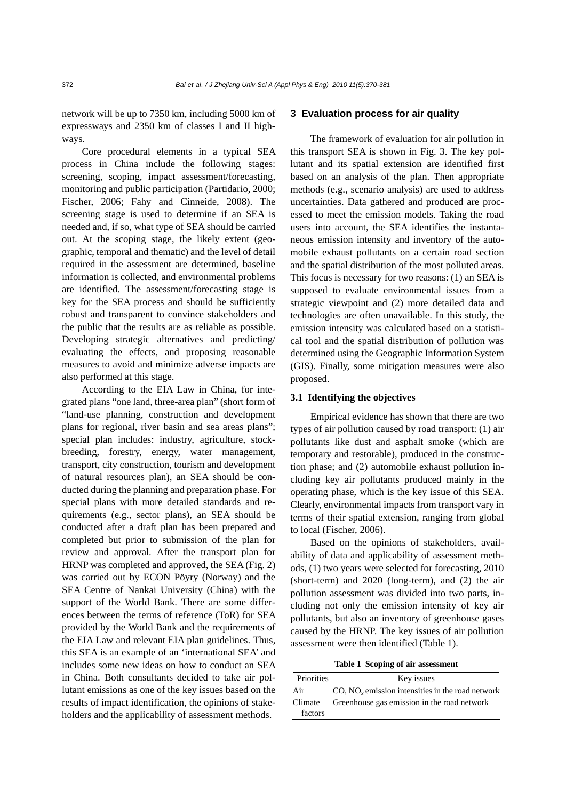network will be up to 7350 km, including 5000 km of expressways and 2350 km of classes I and II highways.

Core procedural elements in a typical SEA process in China include the following stages: screening, scoping, impact assessment/forecasting, monitoring and public participation (Partidario, 2000; Fischer, 2006; Fahy and Cinneide, 2008). The screening stage is used to determine if an SEA is needed and, if so, what type of SEA should be carried out. At the scoping stage, the likely extent (geographic, temporal and thematic) and the level of detail required in the assessment are determined, baseline information is collected, and environmental problems are identified. The assessment/forecasting stage is key for the SEA process and should be sufficiently robust and transparent to convince stakeholders and the public that the results are as reliable as possible. Developing strategic alternatives and predicting/ evaluating the effects, and proposing reasonable measures to avoid and minimize adverse impacts are also performed at this stage.

According to the EIA Law in China, for integrated plans "one land, three-area plan" (short form of "land-use planning, construction and development plans for regional, river basin and sea areas plans"; special plan includes: industry, agriculture, stockbreeding, forestry, energy, water management, transport, city construction, tourism and development of natural resources plan), an SEA should be conducted during the planning and preparation phase. For special plans with more detailed standards and requirements (e.g., sector plans), an SEA should be conducted after a draft plan has been prepared and completed but prior to submission of the plan for review and approval. After the transport plan for HRNP was completed and approved, the SEA (Fig. 2) was carried out by ECON Pöyry (Norway) and the SEA Centre of Nankai University (China) with the support of the World Bank. There are some differences between the terms of reference (ToR) for SEA provided by the World Bank and the requirements of the EIA Law and relevant EIA plan guidelines. Thus, this SEA is an example of an 'international SEA' and includes some new ideas on how to conduct an SEA in China. Both consultants decided to take air pollutant emissions as one of the key issues based on the results of impact identification, the opinions of stakeholders and the applicability of assessment methods.

## **3 Evaluation process for air quality**

The framework of evaluation for air pollution in this transport SEA is shown in Fig. 3. The key pollutant and its spatial extension are identified first based on an analysis of the plan. Then appropriate methods (e.g., scenario analysis) are used to address uncertainties. Data gathered and produced are processed to meet the emission models. Taking the road users into account, the SEA identifies the instantaneous emission intensity and inventory of the automobile exhaust pollutants on a certain road section and the spatial distribution of the most polluted areas. This focus is necessary for two reasons: (1) an SEA is supposed to evaluate environmental issues from a strategic viewpoint and (2) more detailed data and technologies are often unavailable. In this study, the emission intensity was calculated based on a statistical tool and the spatial distribution of pollution was determined using the Geographic Information System (GIS). Finally, some mitigation measures were also proposed.

## **3.1 Identifying the objectives**

Empirical evidence has shown that there are two types of air pollution caused by road transport: (1) air pollutants like dust and asphalt smoke (which are temporary and restorable), produced in the construction phase; and (2) automobile exhaust pollution including key air pollutants produced mainly in the operating phase, which is the key issue of this SEA. Clearly, environmental impacts from transport vary in terms of their spatial extension, ranging from global to local (Fischer, 2006).

Based on the opinions of stakeholders, availability of data and applicability of assessment methods, (1) two years were selected for forecasting, 2010 (short-term) and 2020 (long-term), and (2) the air pollution assessment was divided into two parts, including not only the emission intensity of key air pollutants, but also an inventory of greenhouse gases caused by the HRNP. The key issues of air pollution assessment were then identified (Table 1).

**Table 1 Scoping of air assessment** 

| Priorities | Key issues                                            |
|------------|-------------------------------------------------------|
| Air        | $CO$ , $NOr$ emission intensities in the road network |
| Climate    | Greenhouse gas emission in the road network           |
| factors    |                                                       |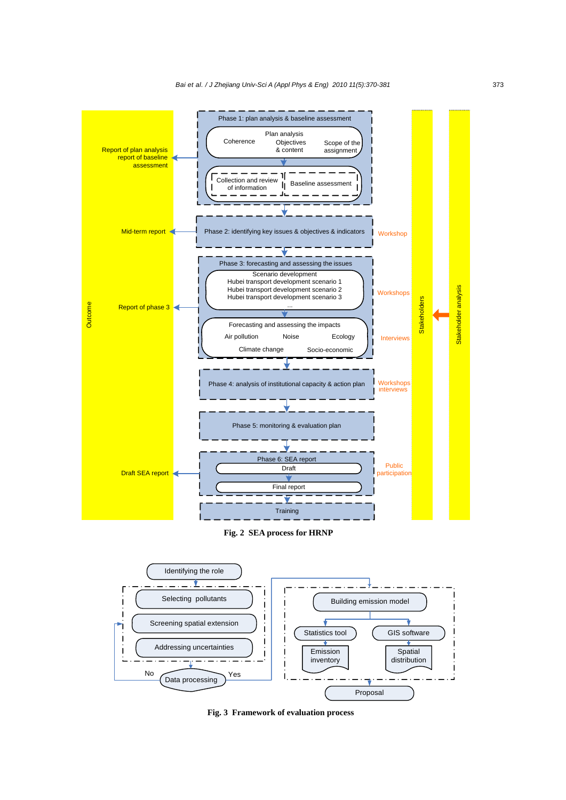



**Fig. 3 Framework of evaluation process**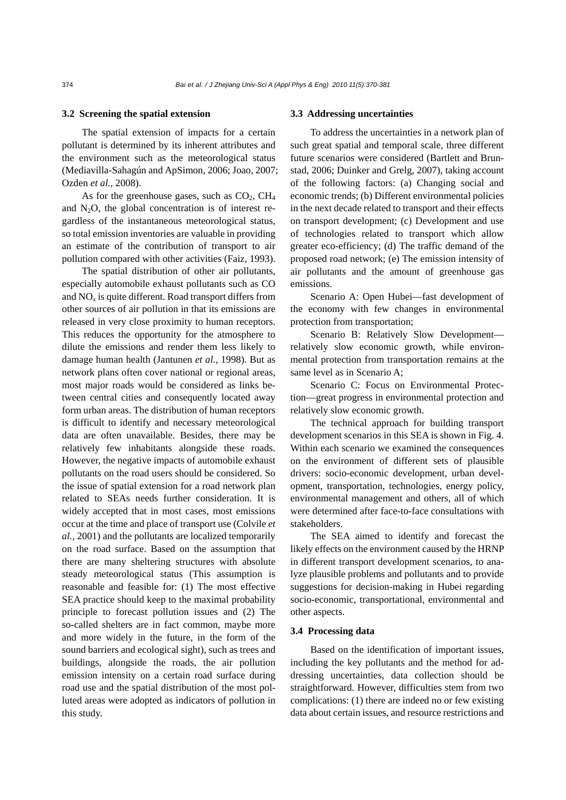#### **3.2 Screening the spatial extension**

The spatial extension of impacts for a certain pollutant is determined by its inherent attributes and the environment such as the meteorological status (Mediavilla-Sahagún and ApSimon, 2006; Joao, 2007; Ozden *et al.*, 2008).

As for the greenhouse gases, such as  $CO<sub>2</sub>$ ,  $CH<sub>4</sub>$ and  $N_2O$ , the global concentration is of interest regardless of the instantaneous meteorological status, so total emission inventories are valuable in providing an estimate of the contribution of transport to air pollution compared with other activities (Faiz, 1993).

The spatial distribution of other air pollutants, especially automobile exhaust pollutants such as CO and  $NO<sub>x</sub>$  is quite different. Road transport differs from other sources of air pollution in that its emissions are released in very close proximity to human receptors. This reduces the opportunity for the atmosphere to dilute the emissions and render them less likely to damage human health (Jantunen *et al.*, 1998). But as network plans often cover national or regional areas, most major roads would be considered as links between central cities and consequently located away form urban areas. The distribution of human receptors is difficult to identify and necessary meteorological data are often unavailable. Besides, there may be relatively few inhabitants alongside these roads. However, the negative impacts of automobile exhaust pollutants on the road users should be considered. So the issue of spatial extension for a road network plan related to SEAs needs further consideration. It is widely accepted that in most cases, most emissions occur at the time and place of transport use (Colvile *et al.*, 2001) and the pollutants are localized temporarily on the road surface. Based on the assumption that there are many sheltering structures with absolute steady meteorological status (This assumption is reasonable and feasible for: (1) The most effective SEA practice should keep to the maximal probability principle to forecast pollution issues and (2) The so-called shelters are in fact common, maybe more and more widely in the future, in the form of the sound barriers and ecological sight), such as trees and buildings, alongside the roads, the air pollution emission intensity on a certain road surface during road use and the spatial distribution of the most polluted areas were adopted as indicators of pollution in this study.

#### **3.3 Addressing uncertainties**

To address the uncertainties in a network plan of such great spatial and temporal scale, three different future scenarios were considered (Bartlett and Brunstad, 2006; Duinker and Grelg, 2007), taking account of the following factors: (a) Changing social and economic trends; (b) Different environmental policies in the next decade related to transport and their effects on transport development; (c) Development and use of technologies related to transport which allow greater eco-efficiency; (d) The traffic demand of the proposed road network; (e) The emission intensity of air pollutants and the amount of greenhouse gas emissions.

Scenario A: Open Hubei—fast development of the economy with few changes in environmental protection from transportation;

Scenario B: Relatively Slow Development relatively slow economic growth, while environmental protection from transportation remains at the same level as in Scenario A;

Scenario C: Focus on Environmental Protection—great progress in environmental protection and relatively slow economic growth.

The technical approach for building transport development scenarios in this SEA is shown in Fig. 4. Within each scenario we examined the consequences on the environment of different sets of plausible drivers: socio-economic development, urban development, transportation, technologies, energy policy, environmental management and others, all of which were determined after face-to-face consultations with stakeholders.

The SEA aimed to identify and forecast the likely effects on the environment caused by the HRNP in different transport development scenarios, to analyze plausible problems and pollutants and to provide suggestions for decision-making in Hubei regarding socio-economic, transportational, environmental and other aspects.

## **3.4 Processing data**

Based on the identification of important issues, including the key pollutants and the method for addressing uncertainties, data collection should be straightforward. However, difficulties stem from two complications: (1) there are indeed no or few existing data about certain issues, and resource restrictions and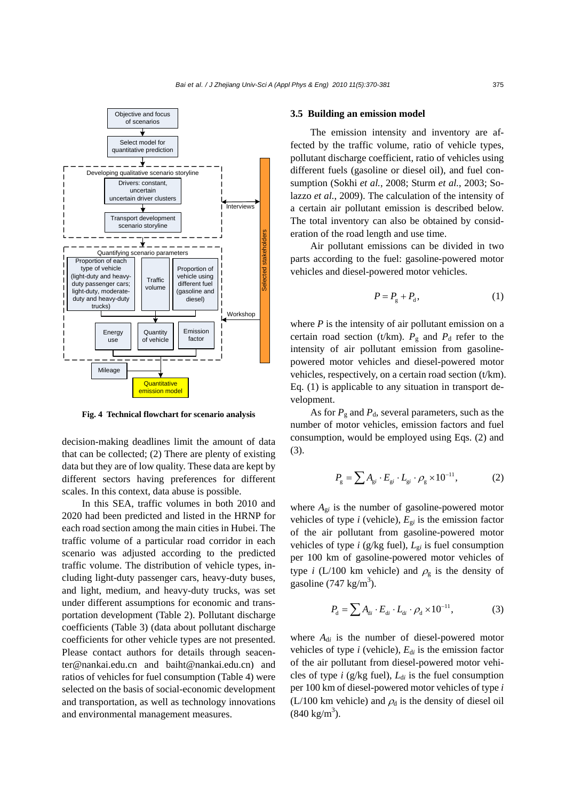

**Fig. 4 Technical flowchart for scenario analysis**

decision-making deadlines limit the amount of data that can be collected; (2) There are plenty of existing data but they are of low quality. These data are kept by different sectors having preferences for different scales. In this context, data abuse is possible.

In this SEA, traffic volumes in both 2010 and 2020 had been predicted and listed in the HRNP for each road section among the main cities in Hubei. The traffic volume of a particular road corridor in each scenario was adjusted according to the predicted traffic volume. The distribution of vehicle types, including light-duty passenger cars, heavy-duty buses, and light, medium, and heavy-duty trucks, was set under different assumptions for economic and transportation development (Table 2). Pollutant discharge coefficients (Table 3) (data about pollutant discharge coefficients for other vehicle types are not presented. Please contact authors for details through seacenter@nankai.edu.cn and baiht@nankai.edu.cn) and ratios of vehicles for fuel consumption (Table 4) were selected on the basis of social-economic development and transportation, as well as technology innovations and environmental management measures.

#### **3.5 Building an emission model**

The emission intensity and inventory are affected by the traffic volume, ratio of vehicle types, pollutant discharge coefficient, ratio of vehicles using different fuels (gasoline or diesel oil), and fuel consumption (Sokhi *et al.*, 2008; Sturm *et al.*, 2003; Solazzo *et al.*, 2009). The calculation of the intensity of a certain air pollutant emission is described below. The total inventory can also be obtained by consideration of the road length and use time.

Air pollutant emissions can be divided in two parts according to the fuel: gasoline-powered motor vehicles and diesel-powered motor vehicles.

$$
P = P_g + P_d, \tag{1}
$$

where  $P$  is the intensity of air pollutant emission on a certain road section (t/km).  $P_g$  and  $P_d$  refer to the intensity of air pollutant emission from gasolinepowered motor vehicles and diesel-powered motor vehicles, respectively, on a certain road section (t/km). Eq. (1) is applicable to any situation in transport development.

As for  $P_{\alpha}$  and  $P_{d}$ , several parameters, such as the number of motor vehicles, emission factors and fuel consumption, would be employed using Eqs. (2) and (3).

$$
P_{g} = \sum A_{gi} \cdot E_{gi} \cdot L_{gi} \cdot \rho_{g} \times 10^{-11},
$$
 (2)

where  $A_{gi}$  is the number of gasoline-powered motor vehicles of type  $i$  (vehicle),  $E_{gi}$  is the emission factor of the air pollutant from gasoline-powered motor vehicles of type  $i$  (g/kg fuel),  $L_{gi}$  is fuel consumption per 100 km of gasoline-powered motor vehicles of type *i* (L/100 km vehicle) and  $\rho_{\rm g}$  is the density of gasoline  $(747 \text{ kg/m}^3)$ .

$$
P_{\rm d} = \sum A_{\rm di} \cdot E_{\rm di} \cdot L_{\rm di} \cdot \rho_{\rm d} \times 10^{-11},\tag{3}
$$

where  $A_{di}$  is the number of diesel-powered motor vehicles of type  $i$  (vehicle),  $E_{di}$  is the emission factor of the air pollutant from diesel-powered motor vehicles of type  $i$  (g/kg fuel),  $L_{di}$  is the fuel consumption per 100 km of diesel-powered motor vehicles of type *i*  (L/100 km vehicle) and  $\rho_d$  is the density of diesel oil  $(840 \text{ kg/m}^3)$ .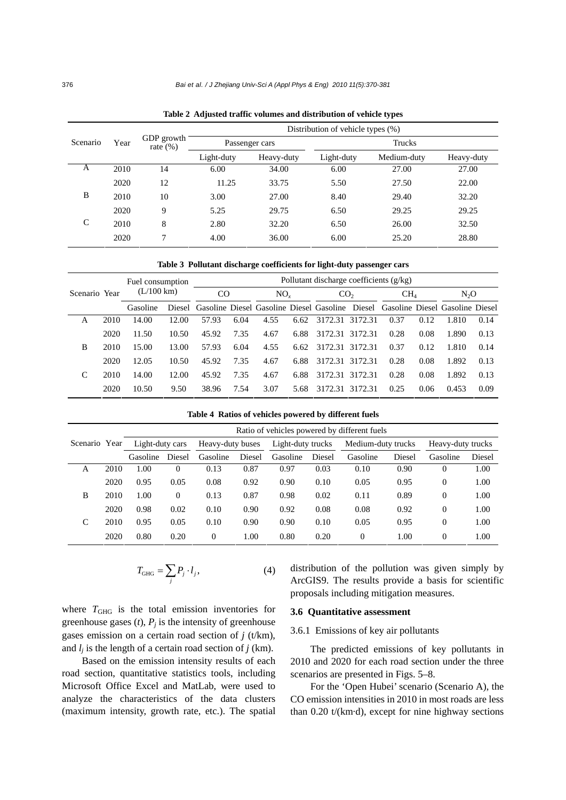| Scenario | Year |                           | Distribution of vehicle types (%) |                |                           |       |            |  |  |  |  |
|----------|------|---------------------------|-----------------------------------|----------------|---------------------------|-------|------------|--|--|--|--|
|          |      | GDP growth<br>rate $(\%)$ |                                   | Passenger cars | Trucks                    |       |            |  |  |  |  |
|          |      |                           | Light-duty<br>Heavy-duty          |                | Light-duty<br>Medium-duty |       | Heavy-duty |  |  |  |  |
| A        | 2010 | 14                        | 6.00                              | 34.00          | 6.00                      | 27.00 | 27.00      |  |  |  |  |
|          | 2020 | 12                        | 11.25                             | 33.75          | 5.50                      | 27.50 | 22.00      |  |  |  |  |
| B        | 2010 | 10                        | 3.00                              | 27.00          | 8.40                      | 29.40 | 32.20      |  |  |  |  |
|          | 2020 | 9                         | 5.25                              | 29.75          | 6.50                      | 29.25 | 29.25      |  |  |  |  |
| C        | 2010 | 8                         | 2.80                              | 32.20          | 6.50                      | 26.00 | 32.50      |  |  |  |  |
|          | 2020 | 7                         | 4.00                              | 36.00          | 6.00                      | 25.20 | 28.80      |  |  |  |  |

**Table 2 Adjusted traffic volumes and distribution of vehicle types** 

**Table 3 Pollutant discharge coefficients for light-duty passenger cars** 

|               |      | Fuel consumption     |       | Pollutant discharge coefficients $(g/kg)$                                              |      |          |      |                 |         |                 |      |        |      |
|---------------|------|----------------------|-------|----------------------------------------------------------------------------------------|------|----------|------|-----------------|---------|-----------------|------|--------|------|
| Scenario Year |      | $(L/100 \text{ km})$ |       | CO                                                                                     |      | $NO_{r}$ |      | CO <sub>2</sub> |         | CH <sub>4</sub> |      | $N_2O$ |      |
|               |      | Gasoline             |       | Diesel Gasoline Diesel Gasoline Diesel Gasoline Diesel Gasoline Diesel Gasoline Diesel |      |          |      |                 |         |                 |      |        |      |
| A             | 2010 | 14.00                | 12.00 | 57.93                                                                                  | 6.04 | 4.55     | 6.62 | 3172.31         | 3172.31 | 0.37            | 0.12 | 1.810  | 0.14 |
|               | 2020 | 11.50                | 10.50 | 45.92                                                                                  | 7.35 | 4.67     | 6.88 | 3172.31 3172.31 |         | 0.28            | 0.08 | 1.890  | 0.13 |
| B             | 2010 | 15.00                | 13.00 | 57.93                                                                                  | 6.04 | 4.55     | 6.62 | 3172.31 3172.31 |         | 0.37            | 0.12 | 1.810  | 0.14 |
|               | 2020 | 12.05                | 10.50 | 45.92                                                                                  | 7.35 | 4.67     | 6.88 | 3172.31         | 3172.31 | 0.28            | 0.08 | 1.892  | 0.13 |
| C             | 2010 | 14.00                | 12.00 | 45.92                                                                                  | 7.35 | 4.67     | 6.88 | 3172.31         | 3172.31 | 0.28            | 0.08 | 1.892  | 0.13 |
|               | 2020 | 10.50                | 9.50  | 38.96                                                                                  | 7.54 | 3.07     | 5.68 | 3172.31         | 3172.31 | 0.25            | 0.06 | 0.453  | 0.09 |

|               |      | Ratio of vehicles powered by different fuels |          |                  |        |                   |        |                    |        |                   |        |  |  |
|---------------|------|----------------------------------------------|----------|------------------|--------|-------------------|--------|--------------------|--------|-------------------|--------|--|--|
| Scenario Year |      | Light-duty cars                              |          | Heavy-duty buses |        | Light-duty trucks |        | Medium-duty trucks |        | Heavy-duty trucks |        |  |  |
|               |      | Gasoline                                     | Diesel   | Gasoline         | Diesel | Gasoline          | Diesel | Gasoline           | Diesel | Gasoline          | Diesel |  |  |
| A             | 2010 | 1.00                                         | 0        | 0.13             | 0.87   | 0.97              | 0.03   | 0.10               | 0.90   | $\theta$          | 1.00   |  |  |
|               | 2020 | 0.95                                         | 0.05     | 0.08             | 0.92   | 0.90              | 0.10   | 0.05               | 0.95   | $\theta$          | 1.00   |  |  |
| B             | 2010 | 1.00                                         | $\Omega$ | 0.13             | 0.87   | 0.98              | 0.02   | 0.11               | 0.89   | $\Omega$          | 1.00   |  |  |
|               | 2020 | 0.98                                         | 0.02     | 0.10             | 0.90   | 0.92              | 0.08   | 0.08               | 0.92   | $\Omega$          | 1.00   |  |  |
| C             | 2010 | 0.95                                         | 0.05     | 0.10             | 0.90   | 0.90              | 0.10   | 0.05               | 0.95   | $\theta$          | 1.00   |  |  |
|               | 2020 | 0.80                                         | 0.20     | 0                | 1.00   | 0.80              | 0.20   | $\Omega$           | 1.00   | $\Omega$          | 1.00   |  |  |

$$
T_{\text{GHG}} = \sum_{j} P_j \cdot l_j,\tag{4}
$$

where  $T<sub>GHG</sub>$  is the total emission inventories for greenhouse gases  $(t)$ ,  $P_j$  is the intensity of greenhouse gases emission on a certain road section of *j* (t/km), and  $l_i$  is the length of a certain road section of  $j$  (km).

Based on the emission intensity results of each road section, quantitative statistics tools, including Microsoft Office Excel and MatLab, were used to analyze the characteristics of the data clusters (maximum intensity, growth rate, etc.). The spatial

distribution of the pollution was given simply by ArcGIS9. The results provide a basis for scientific proposals including mitigation measures.

#### **3.6 Quantitative assessment**

### 3.6.1 Emissions of key air pollutants

The predicted emissions of key pollutants in 2010 and 2020 for each road section under the three scenarios are presented in Figs. 5–8.

For the 'Open Hubei' scenario (Scenario A), the CO emission intensities in 2010 in most roads are less than 0.20 t/(km·d), except for nine highway sections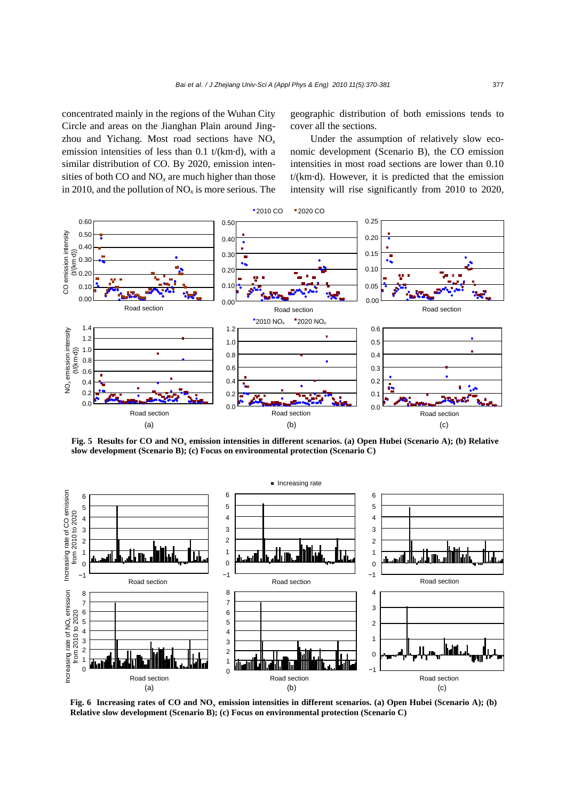concentrated mainly in the regions of the Wuhan City Circle and areas on the Jianghan Plain around Jingzhou and Yichang. Most road sections have NO*<sup>x</sup>* emission intensities of less than 0.1 t/(km·d), with a similar distribution of CO. By 2020, emission intensities of both CO and  $NO<sub>x</sub>$  are much higher than those in 2010, and the pollution of  $NO<sub>x</sub>$  is more serious. The geographic distribution of both emissions tends to cover all the sections.

Under the assumption of relatively slow economic development (Scenario B), the CO emission intensities in most road sections are lower than 0.10 t/(km·d). However, it is predicted that the emission intensity will rise significantly from 2010 to 2020,



**Fig. 5 Results for CO and NO***x* **emission intensities in different scenarios. (a) Open Hubei (Scenario A); (b) Relative slow development (Scenario B); (c) Focus on environmental protection (Scenario C)** 



**Fig. 6** Increasing rates of CO and NO<sub>*x*</sub> emission intensities in different scenarios. (a) Open Hubei (Scenario A); (b) **Relative slow development (Scenario B); (c) Focus on environmental protection (Scenario C)**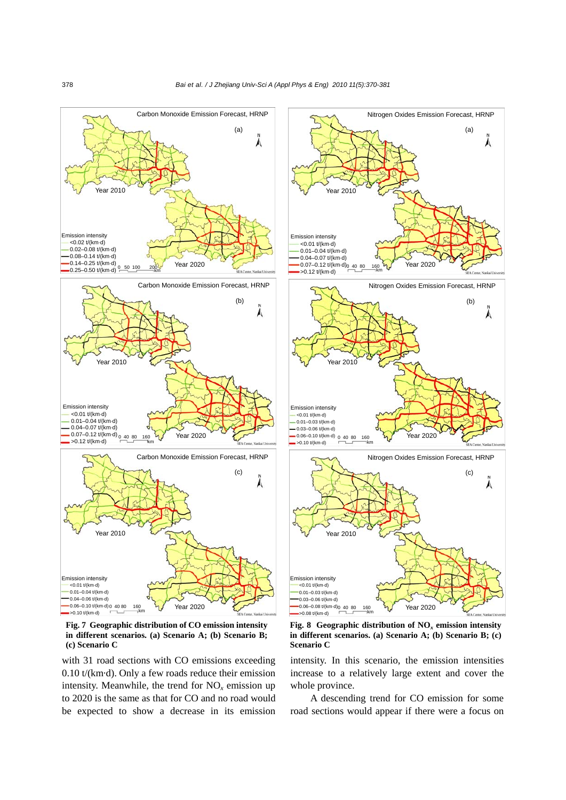

**Fig. 7 Geographic distribution of CO emission intensity in different scenarios. (a) Scenario A; (b) Scenario B; (c) Scenario C** 

with 31 road sections with CO emissions exceeding 0.10 t/(km·d). Only a few roads reduce their emission intensity. Meanwhile, the trend for  $NO<sub>x</sub>$  emission up to 2020 is the same as that for CO and no road would be expected to show a decrease in its emission



**Fig. 8 Geographic distribution of NO***x* **emission intensity in different scenarios. (a) Scenario A; (b) Scenario B; (c) Scenario C** 

intensity. In this scenario, the emission intensities increase to a relatively large extent and cover the whole province.

A descending trend for CO emission for some road sections would appear if there were a focus on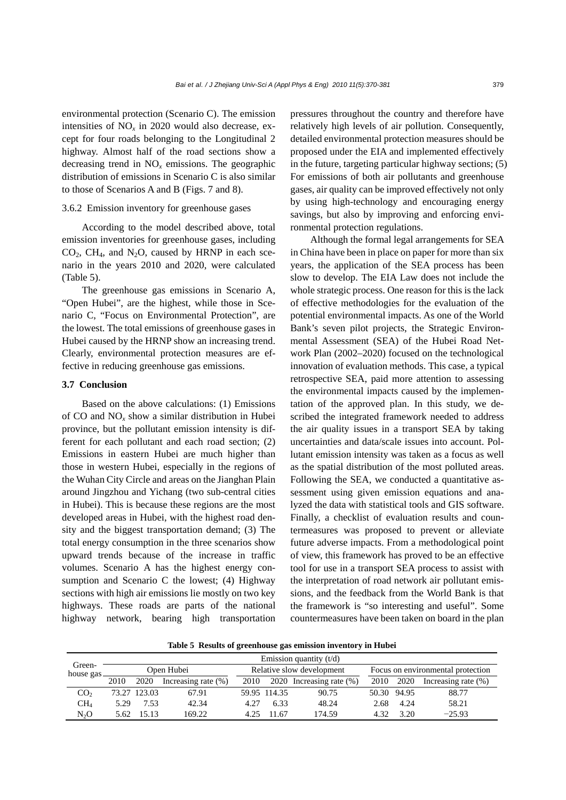environmental protection (Scenario C). The emission intensities of  $NO<sub>x</sub>$  in 2020 would also decrease, except for four roads belonging to the Longitudinal 2 highway. Almost half of the road sections show a decreasing trend in  $NO<sub>x</sub>$  emissions. The geographic distribution of emissions in Scenario C is also similar to those of Scenarios A and B (Figs. 7 and 8).

## 3.6.2 Emission inventory for greenhouse gases

According to the model described above, total emission inventories for greenhouse gases, including  $CO<sub>2</sub>$ , CH<sub>4</sub>, and N<sub>2</sub>O, caused by HRNP in each scenario in the years 2010 and 2020, were calculated (Table 5).

The greenhouse gas emissions in Scenario A, "Open Hubei", are the highest, while those in Scenario C, "Focus on Environmental Protection", are the lowest. The total emissions of greenhouse gases in Hubei caused by the HRNP show an increasing trend. Clearly, environmental protection measures are effective in reducing greenhouse gas emissions.

#### **3.7 Conclusion**

Based on the above calculations: (1) Emissions of CO and NO*x* show a similar distribution in Hubei province, but the pollutant emission intensity is different for each pollutant and each road section; (2) Emissions in eastern Hubei are much higher than those in western Hubei, especially in the regions of the Wuhan City Circle and areas on the Jianghan Plain around Jingzhou and Yichang (two sub-central cities in Hubei). This is because these regions are the most developed areas in Hubei, with the highest road density and the biggest transportation demand; (3) The total energy consumption in the three scenarios show upward trends because of the increase in traffic volumes. Scenario A has the highest energy consumption and Scenario C the lowest; (4) Highway sections with high air emissions lie mostly on two key highways. These roads are parts of the national highway network, bearing high transportation

pressures throughout the country and therefore have relatively high levels of air pollution. Consequently, detailed environmental protection measures should be proposed under the EIA and implemented effectively in the future, targeting particular highway sections; (5) For emissions of both air pollutants and greenhouse gases, air quality can be improved effectively not only by using high-technology and encouraging energy savings, but also by improving and enforcing environmental protection regulations.

Although the formal legal arrangements for SEA in China have been in place on paper for more than six years, the application of the SEA process has been slow to develop. The EIA Law does not include the whole strategic process. One reason for this is the lack of effective methodologies for the evaluation of the potential environmental impacts. As one of the World Bank's seven pilot projects, the Strategic Environmental Assessment (SEA) of the Hubei Road Network Plan (2002–2020) focused on the technological innovation of evaluation methods. This case, a typical retrospective SEA, paid more attention to assessing the environmental impacts caused by the implementation of the approved plan. In this study, we described the integrated framework needed to address the air quality issues in a transport SEA by taking uncertainties and data/scale issues into account. Pollutant emission intensity was taken as a focus as well as the spatial distribution of the most polluted areas. Following the SEA, we conducted a quantitative assessment using given emission equations and analyzed the data with statistical tools and GIS software. Finally, a checklist of evaluation results and countermeasures was proposed to prevent or alleviate future adverse impacts. From a methodological point of view, this framework has proved to be an effective tool for use in a transport SEA process to assist with the interpretation of road network air pollutant emissions, and the feedback from the World Bank is that the framework is "so interesting and useful". Some countermeasures have been taken on board in the plan

**Table 5 Results of greenhouse gas emission inventory in Hubei** 

| Green-<br>house gas | Emission quantity $(t/d)$ |              |                         |      |              |                           |                                   |             |                         |  |  |
|---------------------|---------------------------|--------------|-------------------------|------|--------------|---------------------------|-----------------------------------|-------------|-------------------------|--|--|
|                     | Open Hubei                |              |                         |      |              | Relative slow development | Focus on environmental protection |             |                         |  |  |
|                     | 2010                      | 2020         | Increasing rate $(\% )$ | 2010 |              | 2020 Increasing rate (%)  | 2010                              | 2020        | Increasing rate $(\% )$ |  |  |
| CO <sub>2</sub>     |                           | 73.27 123.03 | 67.91                   |      | 59.95 114.35 | 90.75                     |                                   | 50.30 94.95 | 88.77                   |  |  |
| $CH_4$              | 5.29                      | 7.53         | 42.34                   | 4.27 | 6.33         | 48.24                     | 2.68                              | 4.24        | 58.21                   |  |  |
| N <sub>2</sub> O    | 5.62                      | 15.13        | 169.22                  | 4.25 | 11.67        | 174.59                    | 4.32                              | 3.20        | $-25.93$                |  |  |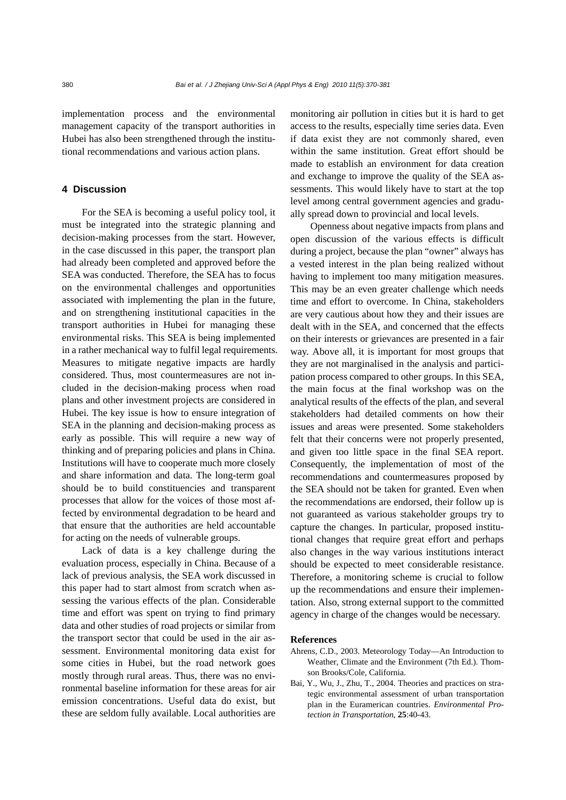implementation process and the environmental management capacity of the transport authorities in Hubei has also been strengthened through the institutional recommendations and various action plans.

## **4 Discussion**

For the SEA is becoming a useful policy tool, it must be integrated into the strategic planning and decision-making processes from the start. However, in the case discussed in this paper, the transport plan had already been completed and approved before the SEA was conducted. Therefore, the SEA has to focus on the environmental challenges and opportunities associated with implementing the plan in the future, and on strengthening institutional capacities in the transport authorities in Hubei for managing these environmental risks. This SEA is being implemented in a rather mechanical way to fulfil legal requirements. Measures to mitigate negative impacts are hardly considered. Thus, most countermeasures are not included in the decision-making process when road plans and other investment projects are considered in Hubei. The key issue is how to ensure integration of SEA in the planning and decision-making process as early as possible. This will require a new way of thinking and of preparing policies and plans in China. Institutions will have to cooperate much more closely and share information and data. The long-term goal should be to build constituencies and transparent processes that allow for the voices of those most affected by environmental degradation to be heard and that ensure that the authorities are held accountable for acting on the needs of vulnerable groups.

Lack of data is a key challenge during the evaluation process, especially in China. Because of a lack of previous analysis, the SEA work discussed in this paper had to start almost from scratch when assessing the various effects of the plan. Considerable time and effort was spent on trying to find primary data and other studies of road projects or similar from the transport sector that could be used in the air assessment. Environmental monitoring data exist for some cities in Hubei, but the road network goes mostly through rural areas. Thus, there was no environmental baseline information for these areas for air emission concentrations. Useful data do exist, but these are seldom fully available. Local authorities are monitoring air pollution in cities but it is hard to get access to the results, especially time series data. Even if data exist they are not commonly shared, even within the same institution. Great effort should be made to establish an environment for data creation and exchange to improve the quality of the SEA assessments. This would likely have to start at the top level among central government agencies and gradually spread down to provincial and local levels.

Openness about negative impacts from plans and open discussion of the various effects is difficult during a project, because the plan "owner" always has a vested interest in the plan being realized without having to implement too many mitigation measures. This may be an even greater challenge which needs time and effort to overcome. In China, stakeholders are very cautious about how they and their issues are dealt with in the SEA, and concerned that the effects on their interests or grievances are presented in a fair way. Above all, it is important for most groups that they are not marginalised in the analysis and participation process compared to other groups. In this SEA, the main focus at the final workshop was on the analytical results of the effects of the plan, and several stakeholders had detailed comments on how their issues and areas were presented. Some stakeholders felt that their concerns were not properly presented, and given too little space in the final SEA report. Consequently, the implementation of most of the recommendations and countermeasures proposed by the SEA should not be taken for granted. Even when the recommendations are endorsed, their follow up is not guaranteed as various stakeholder groups try to capture the changes. In particular, proposed institutional changes that require great effort and perhaps also changes in the way various institutions interact should be expected to meet considerable resistance. Therefore, a monitoring scheme is crucial to follow up the recommendations and ensure their implementation. Also, strong external support to the committed agency in charge of the changes would be necessary.

#### **References**

- Ahrens, C.D., 2003. Meteorology Today—An Introduction to Weather, Climate and the Environment (7th Ed.). Thomson Brooks/Cole, California.
- Bai, Y., Wu, J., Zhu, T., 2004. Theories and practices on strategic environmental assessment of urban transportation plan in the Euramerican countries. *Environmental Protection in Transportation*, **25**:40-43.